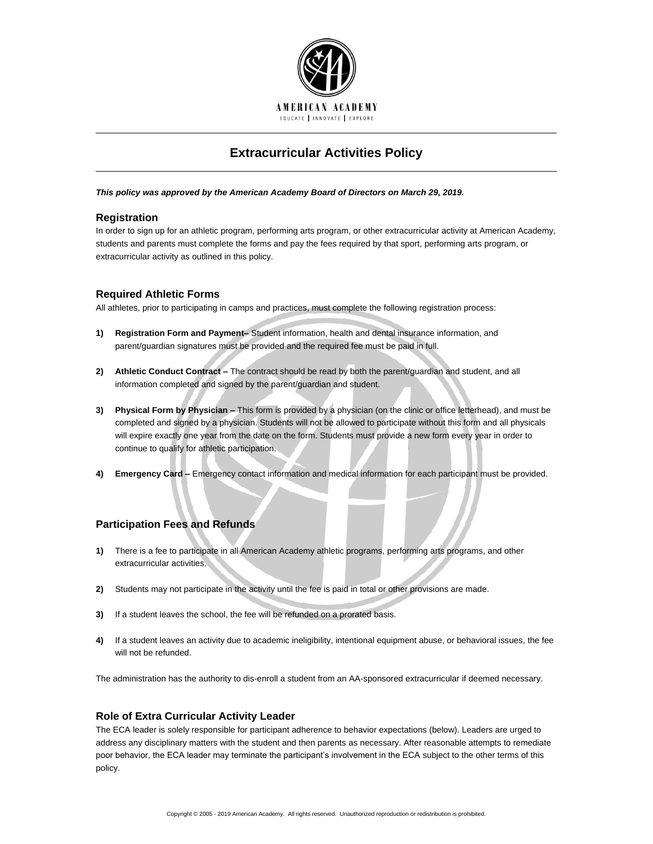

# **Extracurricular Activities Policy**

#### *This policy was approved by the American Academy Board of Directors on March 29, 2019.*

## **Registration**

In order to sign up for an athletic program, performing arts program, or other extracurricular activity at American Academy, students and parents must complete the forms and pay the fees required by that sport, performing arts program, or extracurricular activity as outlined in this policy.

## **Required Athletic Forms**

All athletes, prior to participating in camps and practices, must complete the following registration process:

- **1) Registration Form and Payment–** Student information, health and dental insurance information, and parent/guardian signatures must be provided and the required fee must be paid in full.
- **2) Athletic Conduct Contract –** The contract should be read by both the parent/guardian and student, and all information completed and signed by the parent/guardian and student.
- **3) Physical Form by Physician –** This form is provided by a physician (on the clinic or office letterhead), and must be completed and signed by a physician. Students will not be allowed to participate without this form and all physicals will expire exactly one year from the date on the form. Students must provide a new form every year in order to continue to qualify for athletic participation.
- **4) Emergency Card –** Emergency contact information and medical information for each participant must be provided.

## **Participation Fees and Refunds**

- **1)** There is a fee to participate in all American Academy athletic programs, performing arts programs, and other extracurricular activities.
- **2)** Students may not participate in the activity until the fee is paid in total or other provisions are made.
- **3)** If a student leaves the school, the fee will be refunded on a prorated basis.
- **4)** If a student leaves an activity due to academic ineligibility, intentional equipment abuse, or behavioral issues, the fee will not be refunded.

The administration has the authority to dis-enroll a student from an AA-sponsored extracurricular if deemed necessary.

### **Role of Extra Curricular Activity Leader**

The ECA leader is solely responsible for participant adherence to behavior expectations (below). Leaders are urged to address any disciplinary matters with the student and then parents as necessary. After reasonable attempts to remediate poor behavior, the ECA leader may terminate the participant's involvement in the ECA subject to the other terms of this policy.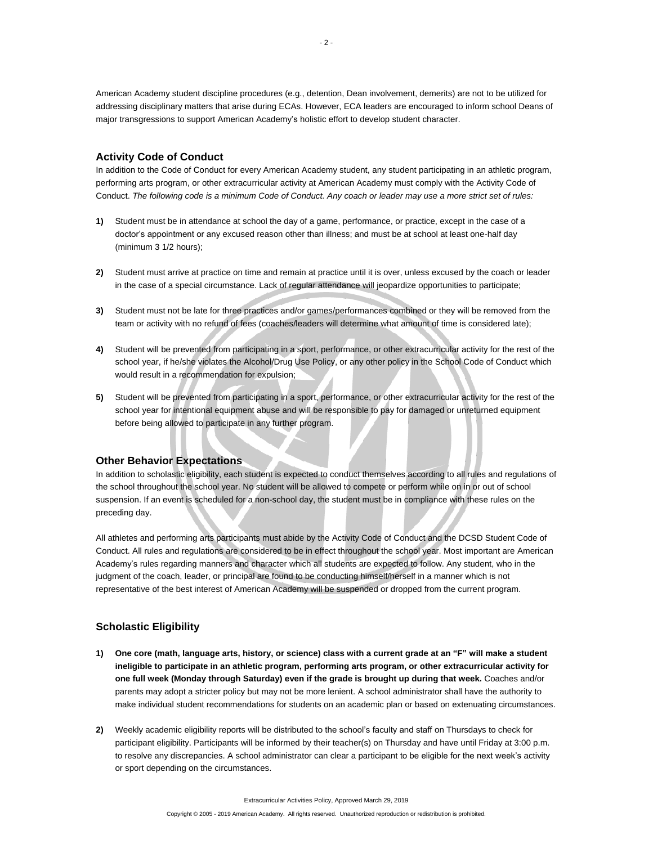American Academy student discipline procedures (e.g., detention, Dean involvement, demerits) are not to be utilized for addressing disciplinary matters that arise during ECAs. However, ECA leaders are encouraged to inform school Deans of major transgressions to support American Academy's holistic effort to develop student character.

### **Activity Code of Conduct**

In addition to the Code of Conduct for every American Academy student, any student participating in an athletic program, performing arts program, or other extracurricular activity at American Academy must comply with the Activity Code of Conduct. *The following code is a minimum Code of Conduct. Any coach or leader may use a more strict set of rules:*

- **1)** Student must be in attendance at school the day of a game, performance, or practice, except in the case of a doctor's appointment or any excused reason other than illness; and must be at school at least one-half day (minimum 3 1/2 hours);
- **2)** Student must arrive at practice on time and remain at practice until it is over, unless excused by the coach or leader in the case of a special circumstance. Lack of regular attendance will jeopardize opportunities to participate;
- **3)** Student must not be late for three practices and/or games/performances combined or they will be removed from the team or activity with no refund of fees (coaches/leaders will determine what amount of time is considered late);
- **4)** Student will be prevented from participating in a sport, performance, or other extracurricular activity for the rest of the school year, if he/she violates the Alcohol/Drug Use Policy, or any other policy in the School Code of Conduct which would result in a recommendation for expulsion;
- **5)** Student will be prevented from participating in a sport, performance, or other extracurricular activity for the rest of the school year for intentional equipment abuse and will be responsible to pay for damaged or unreturned equipment before being allowed to participate in any further program.

#### **Other Behavior Expectations**

In addition to scholastic eligibility, each student is expected to conduct themselves according to all rules and regulations of the school throughout the school year. No student will be allowed to compete or perform while on in or out of school suspension. If an event is scheduled for a non-school day, the student must be in compliance with these rules on the preceding day.

All athletes and performing arts participants must abide by the Activity Code of Conduct and the DCSD Student Code of Conduct. All rules and regulations are considered to be in effect throughout the school year. Most important are American Academy's rules regarding manners and character which all students are expected to follow. Any student, who in the judgment of the coach, leader, or principal are found to be conducting himself/herself in a manner which is not representative of the best interest of American Academy will be suspended or dropped from the current program.

### **Scholastic Eligibility**

- **1) One core (math, language arts, history, or science) class with a current grade at an "F" will make a student ineligible to participate in an athletic program, performing arts program, or other extracurricular activity for one full week (Monday through Saturday) even if the grade is brought up during that week.** Coaches and/or parents may adopt a stricter policy but may not be more lenient. A school administrator shall have the authority to make individual student recommendations for students on an academic plan or based on extenuating circumstances.
- **2)** Weekly academic eligibility reports will be distributed to the school's faculty and staff on Thursdays to check for participant eligibility. Participants will be informed by their teacher(s) on Thursday and have until Friday at 3:00 p.m. to resolve any discrepancies. A school administrator can clear a participant to be eligible for the next week's activity or sport depending on the circumstances.

Extracurricular Activities Policy, Approved March 29, 2019